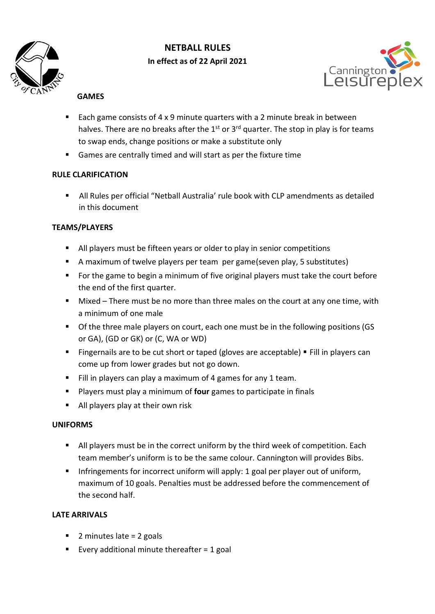

# **NETBALL RULES In effect as of 22 April 2021**



## **GAMES**

- Each game consists of  $4 \times 9$  minute quarters with a 2 minute break in between halves. There are no breaks after the  $1<sup>st</sup>$  or  $3<sup>rd</sup>$  quarter. The stop in play is for teams to swap ends, change positions or make a substitute only
- Games are centrally timed and will start as per the fixture time

## **RULE CLARIFICATION**

 All Rules per official "Netball Australia' rule book with CLP amendments as detailed in this document

## **TEAMS/PLAYERS**

- All players must be fifteen years or older to play in senior competitions
- A maximum of twelve players per team per game(seven play, 5 substitutes)
- For the game to begin a minimum of five original players must take the court before the end of the first quarter.
- Mixed There must be no more than three males on the court at any one time, with a minimum of one male
- **Of the three male players on court, each one must be in the following positions (GS** or GA), (GD or GK) or (C, WA or WD)
- **Fingernails are to be cut short or taped (gloves are acceptable) Fill in players can** come up from lower grades but not go down.
- Fill in players can play a maximum of 4 games for any 1 team.
- Players must play a minimum of **four** games to participate in finals
- All players play at their own risk

#### **UNIFORMS**

- All players must be in the correct uniform by the third week of competition. Each team member's uniform is to be the same colour. Cannington will provides Bibs.
- Infringements for incorrect uniform will apply: 1 goal per player out of uniform, maximum of 10 goals. Penalties must be addressed before the commencement of the second half.

## **LATE ARRIVALS**

- $\blacksquare$  2 minutes late = 2 goals
- Every additional minute thereafter  $= 1$  goal